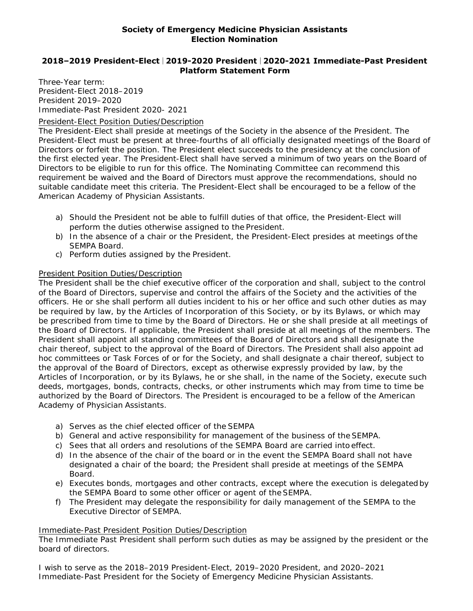## **Society of Emergency Medicine Physician Assistants Election Nomination**

# **2018–2019 President-Elect** | **2019-2020 President** | **2020-2021 Immediate-Past President Platform Statement Form**

Three-Year term: President-Elect 2018–2019 President 2019–2020 Immediate-Past President 2020- 2021

### President-Elect Position Duties/Description

The President-Elect shall preside at meetings of the Society in the absence of the President. The President-Elect must be present at three-fourths of all officially designated meetings of the Board of Directors or forfeit the position. The President elect succeeds to the presidency at the conclusion of the first elected year. The President-Elect shall have served a minimum of two years on the Board of Directors to be eligible to run for this office. The Nominating Committee can recommend this requirement be waived and the Board of Directors must approve the recommendations, should no suitable candidate meet this criteria. The President-Elect shall be encouraged to be a fellow of the American Academy of Physician Assistants.

- a) Should the President not be able to fulfill duties of that office, the President-Elect will perform the duties otherwise assigned to the President.
- b) In the absence of a chair or the President, the President-Elect presides at meetings ofthe SEMPA Board.
- c) Perform duties assigned by the President.

### President Position Duties/Description

The President shall be the chief executive officer of the corporation and shall, subject to the control of the Board of Directors, supervise and control the affairs of the Society and the activities of the officers. He or she shall perform all duties incident to his or her office and such other duties as may be required by law, by the Articles of Incorporation of this Society, or by its Bylaws, or which may be prescribed from time to time by the Board of Directors. He or she shall preside at all meetings of the Board of Directors. If applicable, the President shall preside at all meetings of the members. The President shall appoint all standing committees of the Board of Directors and shall designate the chair thereof, subject to the approval of the Board of Directors. The President shall also appoint ad hoc committees or Task Forces of or for the Society, and shall designate a chair thereof, subject to the approval of the Board of Directors, except as otherwise expressly provided by law, by the Articles of Incorporation, or by its Bylaws, he or she shall, in the name of the Society, execute such deeds, mortgages, bonds, contracts, checks, or other instruments which may from time to time be authorized by the Board of Directors. The President is encouraged to be a fellow of the American Academy of Physician Assistants.

- a) Serves as the chief elected officer of the SEMPA
- b) General and active responsibility for management of the business of the SEMPA.
- c) Sees that all orders and resolutions of the SEMPA Board are carried into effect.
- d) In the absence of the chair of the board or in the event the SEMPA Board shall not have designated a chair of the board; the President shall preside at meetings of the SEMPA Board.
- e) Executes bonds, mortgages and other contracts, except where the execution is delegated by the SEMPA Board to some other officer or agent of the SEMPA.
- f) The President may delegate the responsibility for daily management of the SEMPA to the Executive Director of SEMPA.

### Immediate-Past President Position Duties/Description

The Immediate Past President shall perform such duties as may be assigned by the president or the board of directors.

I wish to serve as the 2018–2019 President-Elect, 2019–2020 President, and 2020–2021 Immediate-Past President for the Society of Emergency Medicine Physician Assistants.